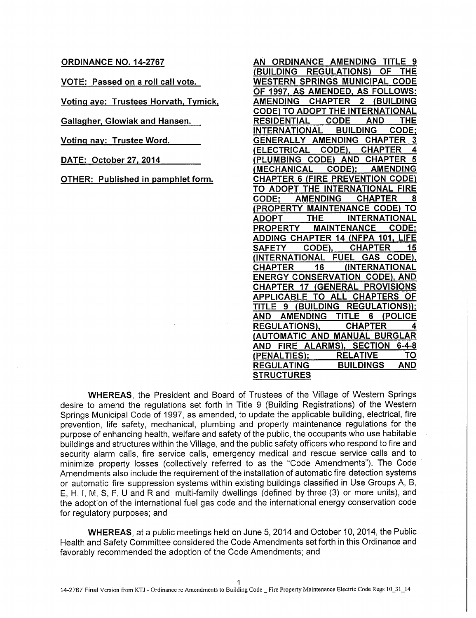#### **ORDINANCE NO. 14-2767**

**VOTE: Passed on a roll call vote.** 

**Voting aye: Trustees Horvath, Tymick,** 

**Gallagher, Glowiak and Hansen.** 

**Voting nay: Trustee Word.** 

**DATE: October 27, 2014** 

**OTHER: Published in pamphlet form.**

| (BUILDING REGULATIONS) OF THE<br>WESTERN SPRINGS MUNICIPAL CODE<br>OF 1997, AS AMENDED, AS FOLLOWS:<br>AMENDING CHAPTER 2 (BUILDING<br>CODE) TO ADOPT THE INTERNATIONAL<br>RESIDENTIAL CODE AND<br>THE<br>INTERNATIONAL BUILDING CODE;<br>3<br>(ELECTRICAL CODE), CHAPTER<br>4<br>(PLUMBING CODE) AND CHAPTER<br>(MECHANICAL CODE); AMENDING<br><b>CHAPTER 6 (FIRE PREVENTION CODE)</b><br>TO ADOPT THE INTERNATIONAL FIRE<br>CODE; AMENDING CHAPTER<br>8<br><b>(PROPERTY MAINTENANCE CODE) TO<br/>ADOPT THE INTERNATIONAL<br/>PROPERTY MAINTENANCE CODE:</b><br><u>ADDING CHAPTER 14 (NFPA 101, LIFE</u><br>SAFETY CODE), CHAPTER<br>15<br>(INTERNATIONAL FUEL GAS CODE),<br>CHAPTER 16 (INTERNATIONAL<br><b>ENERGY CONSERVATION CODE), AND</b><br>CHAPTER 17 (GENERAL PROVISIONS<br>AND AMENDING TITLE 6 (POLICE<br>REGULATIONS), CHAPTER 4<br>AND FIRE ALARMS), SECTION 6-4-8<br>(PENALTIES); RELATIVE TO<br>REGULATING BUILDINGS AND |                                  |
|------------------------------------------------------------------------------------------------------------------------------------------------------------------------------------------------------------------------------------------------------------------------------------------------------------------------------------------------------------------------------------------------------------------------------------------------------------------------------------------------------------------------------------------------------------------------------------------------------------------------------------------------------------------------------------------------------------------------------------------------------------------------------------------------------------------------------------------------------------------------------------------------------------------------------------------|----------------------------------|
|                                                                                                                                                                                                                                                                                                                                                                                                                                                                                                                                                                                                                                                                                                                                                                                                                                                                                                                                          | AN ORDINANCE AMENDING TITLE 9    |
|                                                                                                                                                                                                                                                                                                                                                                                                                                                                                                                                                                                                                                                                                                                                                                                                                                                                                                                                          |                                  |
|                                                                                                                                                                                                                                                                                                                                                                                                                                                                                                                                                                                                                                                                                                                                                                                                                                                                                                                                          |                                  |
|                                                                                                                                                                                                                                                                                                                                                                                                                                                                                                                                                                                                                                                                                                                                                                                                                                                                                                                                          |                                  |
|                                                                                                                                                                                                                                                                                                                                                                                                                                                                                                                                                                                                                                                                                                                                                                                                                                                                                                                                          |                                  |
|                                                                                                                                                                                                                                                                                                                                                                                                                                                                                                                                                                                                                                                                                                                                                                                                                                                                                                                                          |                                  |
|                                                                                                                                                                                                                                                                                                                                                                                                                                                                                                                                                                                                                                                                                                                                                                                                                                                                                                                                          |                                  |
|                                                                                                                                                                                                                                                                                                                                                                                                                                                                                                                                                                                                                                                                                                                                                                                                                                                                                                                                          |                                  |
|                                                                                                                                                                                                                                                                                                                                                                                                                                                                                                                                                                                                                                                                                                                                                                                                                                                                                                                                          | GENERALLY AMENDING CHAPTER       |
|                                                                                                                                                                                                                                                                                                                                                                                                                                                                                                                                                                                                                                                                                                                                                                                                                                                                                                                                          |                                  |
|                                                                                                                                                                                                                                                                                                                                                                                                                                                                                                                                                                                                                                                                                                                                                                                                                                                                                                                                          |                                  |
|                                                                                                                                                                                                                                                                                                                                                                                                                                                                                                                                                                                                                                                                                                                                                                                                                                                                                                                                          |                                  |
|                                                                                                                                                                                                                                                                                                                                                                                                                                                                                                                                                                                                                                                                                                                                                                                                                                                                                                                                          |                                  |
|                                                                                                                                                                                                                                                                                                                                                                                                                                                                                                                                                                                                                                                                                                                                                                                                                                                                                                                                          |                                  |
|                                                                                                                                                                                                                                                                                                                                                                                                                                                                                                                                                                                                                                                                                                                                                                                                                                                                                                                                          |                                  |
|                                                                                                                                                                                                                                                                                                                                                                                                                                                                                                                                                                                                                                                                                                                                                                                                                                                                                                                                          |                                  |
|                                                                                                                                                                                                                                                                                                                                                                                                                                                                                                                                                                                                                                                                                                                                                                                                                                                                                                                                          |                                  |
|                                                                                                                                                                                                                                                                                                                                                                                                                                                                                                                                                                                                                                                                                                                                                                                                                                                                                                                                          |                                  |
|                                                                                                                                                                                                                                                                                                                                                                                                                                                                                                                                                                                                                                                                                                                                                                                                                                                                                                                                          |                                  |
|                                                                                                                                                                                                                                                                                                                                                                                                                                                                                                                                                                                                                                                                                                                                                                                                                                                                                                                                          |                                  |
|                                                                                                                                                                                                                                                                                                                                                                                                                                                                                                                                                                                                                                                                                                                                                                                                                                                                                                                                          |                                  |
|                                                                                                                                                                                                                                                                                                                                                                                                                                                                                                                                                                                                                                                                                                                                                                                                                                                                                                                                          |                                  |
|                                                                                                                                                                                                                                                                                                                                                                                                                                                                                                                                                                                                                                                                                                                                                                                                                                                                                                                                          |                                  |
|                                                                                                                                                                                                                                                                                                                                                                                                                                                                                                                                                                                                                                                                                                                                                                                                                                                                                                                                          |                                  |
|                                                                                                                                                                                                                                                                                                                                                                                                                                                                                                                                                                                                                                                                                                                                                                                                                                                                                                                                          | APPLICABLE TO ALL CHAPTERS OF    |
|                                                                                                                                                                                                                                                                                                                                                                                                                                                                                                                                                                                                                                                                                                                                                                                                                                                                                                                                          | TITLE 9 (BUILDING REGULATIONS)); |
|                                                                                                                                                                                                                                                                                                                                                                                                                                                                                                                                                                                                                                                                                                                                                                                                                                                                                                                                          |                                  |
|                                                                                                                                                                                                                                                                                                                                                                                                                                                                                                                                                                                                                                                                                                                                                                                                                                                                                                                                          |                                  |
|                                                                                                                                                                                                                                                                                                                                                                                                                                                                                                                                                                                                                                                                                                                                                                                                                                                                                                                                          | (AUTOMATIC AND MANUAL BURGLAR    |
|                                                                                                                                                                                                                                                                                                                                                                                                                                                                                                                                                                                                                                                                                                                                                                                                                                                                                                                                          |                                  |
|                                                                                                                                                                                                                                                                                                                                                                                                                                                                                                                                                                                                                                                                                                                                                                                                                                                                                                                                          |                                  |
|                                                                                                                                                                                                                                                                                                                                                                                                                                                                                                                                                                                                                                                                                                                                                                                                                                                                                                                                          |                                  |
|                                                                                                                                                                                                                                                                                                                                                                                                                                                                                                                                                                                                                                                                                                                                                                                                                                                                                                                                          | <b>STRUCTURES</b>                |

**WHEREAS,** the President and Board of Trustees of the Village of Western Springs desire to amend the regulations set forth in Title 9 (Building Registrations) of the Western Springs Municipal Code of 1997, as amended, to update the applicable building, electrical, fire prevention, life safety, mechanical, plumbing and property maintenance regulations for the purpose of enhancing health, welfare and safety of the public, the occupants who use habitable buildings and structures within the Village, and the public safety officers who respond to fire and security alarm calls, fire service calls, emergency medical and rescue service calls and to minimize property losses (collectively referred to as the "Code Amendments"). The Code Amendments also include the requirement of the installation of automatic fire detection systems or automatic fire suppression systems within existing buildings classified in Use Groups A, B, E, H, I, M, S, F, U and R and multi-family dwellings (defined by three (3) or more units), and the adoption of the international fuel gas code and the international energy conservation code for regulatory purposes; and

WHEREAS, at a public meetings held on June 5, 2014 and October 10, 2014, the Public Health and Safety Committee considered the Code Amendments set forth in this Ordinance and favorably recommended the adoption of the Code Amendments; and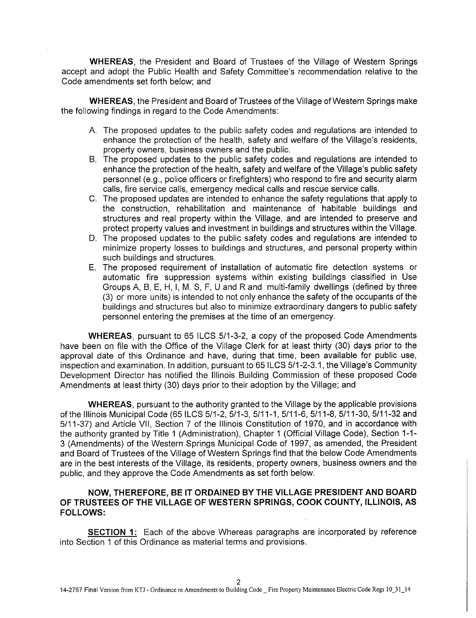**WHEREAS,** the President and Board of Trustees of the Village of Western Springs accept and adopt the Public Health and Safety Committee's recommendation relative to the Code amendments set forth below; and

WHEREAS, the President and Board of Trustees of the Village of Western Springs make the following findings in regard to the Code Amendments:

- A. The proposed updates to the public safety codes and regulations are intended to enhance the protection of the health, safety and welfare of the Village's residents, property owners, business owners and the public.
- B. The proposed updates to the public safety codes and regulations are intended to enhance the protection of the health, safety and welfare of the Village's public safety personnel (e.g., police officers or firefighters) who respond to fire and security alarm calls, fire service calls, emergency medical calls and rescue service calls.
- C. The proposed updates are intended to enhance the safety regulations that apply to the construction, rehabilitation and maintenance of habitable buildings and structures and real property within the Village, and are intended to preserve and protect property values and investment in buildings and structures within the Village.
- D. The proposed updates to the public safety codes and regulations are intended to minimize property losses to buildings and structures, and personal property within such buildings and structures.
- E. The proposed requirement of installation of automatic fire detection systems or automatic fire suppression systems within existing buildings classified in Use Groups A, B, E, H, I, M, S, F, U and R and multi-family dwellings (defined by three (3) or more units) is intended to not only enhance the safety of the occupants of the buildings and structures but also to minimize extraordinary dangers to public safety personnel entering the premises at the time of an emergency.

WHEREAS, pursuant to 65 ILCS 5/1-3-2, a copy of the proposed Code Amendments have been on file with the Office of the Village Clerk for at least thirty (30) days prior to the approval date of this Ordinance and have, during that time, been available for public use, inspection and examination. In addition, pursuant to 65 ILCS 5/1-2-3.1, the Village's Community Development Director has notified the Illinois Building Commission of these proposed Code Amendments at least thirty (30) days prior to their adoption by the Village; and

WHEREAS, pursuant to the authority granted to the Village by the applicable provisions of the Illinois Municipal Code (65 ILCS 5/1-2, 5/1-3, 5/11-1, 5/11-6, 5/11-8, 5/11-30, 5/11-32 and 5/11-37) and Article VII, Section 7 of the Illinois Constitution of 1970, and in accordance with the authority granted by Title 1 (Administration), Chapter 1 (Official Village Code), Section 1-1- 3 (Amendments) of the Western Springs Municipal Code of 1997, as amended, the President and Board of Trustees of the Village of Western Springs find that the below Code Amendments are in the best interests of the Village, its residents, property owners, business owners and the public, and they approve the Code Amendments as set forth below.

# **NOW, THEREFORE, BE IT ORDAINED BY THE VILLAGE PRESIDENT AND BOARD OF TRUSTEES OF THE VILLAGE OF WESTERN SPRINGS, COOK COUNTY, ILLINOIS, AS FOLLOWS:**

**SECTION 1:** Each of the above Whereas paragraphs are incorporated by reference into Section 1 of this Ordinance as material terms and provisions.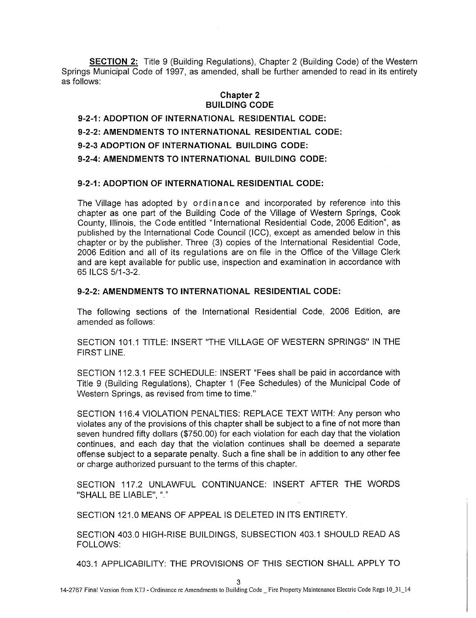**SECTION 2:** Title 9 (Building Regulations), Chapter 2 (Building Code) of the Western Springs Municipal Code of 1997, as amended, shall be further amended to read in its entirety as follows:

# **Chapter 2 BUILDING CODE**

**9-2-1: ADOPTION OF INTERNATIONAL RESIDENTIAL CODE: 9-2-2: AMENDMENTS TO INTERNATIONAL RESIDENTIAL CODE: 9-2-3 ADOPTION OF INTERNATIONAL BUILDING CODE: 9-2-4: AMENDMENTS TO INTERNATIONAL BUILDING CODE:** 

# **9-2-1: ADOPTION OF INTERNATIONAL RESIDENTIAL CODE:**

The Village has adopted by ordinance and incorporated by reference into this chapter as one part of the Building Code of the Village of Western Springs, Cook County, Illinois, the Code entitled "International Residential Code, 2006 Edition", as published by the International Code Council (ICC), except as amended below in this chapter or by the publisher. Three (3) copies of the International Residential Code, 2006 Edition and all of its regulations are on file in the Office of the Village Clerk and are kept available for public use, inspection and examination in accordance with 65 ILCS 5/1-3-2.

### **9-2-2: AMENDMENTS TO INTERNATIONAL RESIDENTIAL CODE:**

The following sections of the International Residential Code, 2006 Edition, are amended as follows:

SECTION 101.1 TITLE: INSERT "THE VILLAGE OF WESTERN SPRINGS" IN THE FIRST LINE.

SECTION 112.3.1 FEE SCHEDULE: INSERT "Fees shall be paid in accordance with Title 9 (Building Regulations), Chapter 1 (Fee Schedules) of the Municipal Code of Western Springs, as revised from time to time."

SECTION 116.4 VIOLATION PENALTIES: REPLACE TEXT WITH: Any person who violates any of the provisions of this chapter shall be subject to a fine of not more than seven hundred fifty dollars (\$750.00) for each violation for each day that the violation continues, and each day that the violation continues shall be deemed a separate offense subject to a separate penalty. Such a fine shall be in addition to any other fee or charge authorized pursuant to the terms of this chapter.

SECTION 117.2 UNLAWFUL CONTINUANCE: INSERT AFTER THE WORDS "SHALL BE LIABLE",

SECTION 121.0 MEANS OF APPEAL IS DELETED IN ITS ENTIRETY.

SECTION 403.0 HIGH-RISE BUILDINGS, SUBSECTION 403.1 SHOULD READ AS FOLLOWS:

403.1 APPLICABILITY: THE PROVISIONS OF THIS SECTION SHALL APPLY TO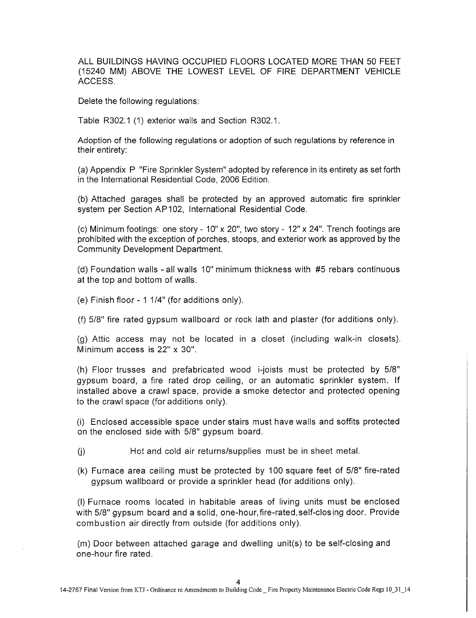ALL BUILDINGS HAVING OCCUPIED FLOORS LOCATED MORE THAN 50 FEET (15240 MM) ABOVE THE LOWEST LEVEL OF FIRE DEPARTMENT VEHICLE ACCESS.

Delete the following regulations:

Table R302.1 (1) exterior walls and Section R302.1.

Adoption of the following regulations or adoption of such regulations by reference in their entirety:

(a) Appendix P "Fire Sprinkler System" adopted by reference in its entirety as set forth in the International Residential Code, 2006 Edition.

(b) Attached garages shall be protected by an approved automatic fire sprinkler system per Section AP102, International Residential Code.

(c) Minimum footings: one story -  $10'' \times 20''$ , two story -  $12'' \times 24''$ . Trench footings are prohibited with the exception of porches, stoops, and exterior work as approved by the Community Development Department.

(d) Foundation walls - all walls 10" minimum thickness with #5 rebars continuous at the top and bottom of walls.

(e) Finish floor - 1 1/4" (for additions only).

(f) 5/8" fire rated gypsum wallboard or rock lath and plaster (for additions only).

(g) Attic access may not be located in a closet (including walk-in closets). M inimum access is 22" x 30".

(h) Floor trusses and prefabricated wood i-joists must be protected by 5/8" gypsum board, a fire rated drop ceiling, or an automatic sprinkler system. If installed above a crawl space, provide a smoke detector and protected opening to the crawl space (for additions only).

(i) Enclosed accessible space under stairs must have walls and soffits protected on the enclosed side with 5/8" gypsum board.

(j) Hot and cold air returns/supplies must be in sheet metal.

(k) Furnace area ceiling must be protected by 100 square feet of 5/8" fire-rated gypsum wallboard or provide a sprinkler head (for additions only).

(I) Furnace rooms located in habitable areas of living units must be enclosed with 5/8" gypsum board and a solid, one-hour, fire-rated,self-clos ing door. Provide combustion air directly from outside (for additions only).

(m) Door between attached garage and dwelling unit(s) to be self-closing and one-hour fire rated.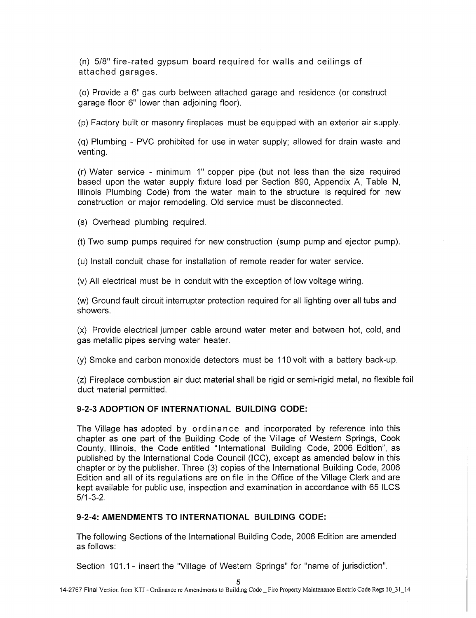(n) 5/8" fire-rated gypsum board required for walls and ceilings of attached garages.

(o) Provide a 6" gas curb between attached garage and residence (or construct garage floor 6" lower than adjoining floor).

(p) Factory built or masonry fireplaces must be equipped with an exterior air supply.

(q) Plumbing - PVC prohibited for use in water supply; allowed for drain waste and venting.

(r) Water service - minimum 1" copper pipe (but not less than the size required based upon the water supply fixture load per Section 890, Appendix A, Table N, Illinois Plumbing Code) from the water main to the structure is required for new construction or major remodeling. Old service must be disconnected.

(s) Overhead plumbing required.

(t) Two sump pumps required for new construction (sump pump and ejector pump).

(u) Install conduit chase for installation of remote reader for water service.

(v) All electrical must be in conduit with the exception of low voltage wiring.

(w) Ground fault circuit interrupter protection required for all lighting over all tubs and showers.

(x) Provide electrical jumper cable around water meter and between hot, cold, and gas metallic pipes serving water heater.

(y) Smoke and carbon monoxide detectors must be 110 volt with a battery back-up.

(z) Fireplace combustion air duct material shall be rigid or semi-rigid metal, no flexible foil duct material permitted.

### **9-2-3 ADOPTION OF INTERNATIONAL BUILDING CODE:**

The Village has adopted by ordinance and incorporated by reference into this chapter as one part of the Building Code of the Village of Western Springs, Cook County, Illinois, the Code entitled "International Building Code, 2006 Edition", as published by the International Code Council (ICC), except as amended below in this chapter or by the publisher. Three (3) copies of the International Building Code, 2006 Edition and all of its regulations are on file in the Office of the Village Clerk and are kept available for public use, inspection and examination in accordance with 65 ILCS 5/1-3-2.

### **9-2-4: AMENDMENTS TO INTERNATIONAL BUILDING CODE:**

The following Sections of the International Building Code, 2006 Edition are amended as follows:

Section 101.1 - insert the "Village of Western Springs" for "name of jurisdiction".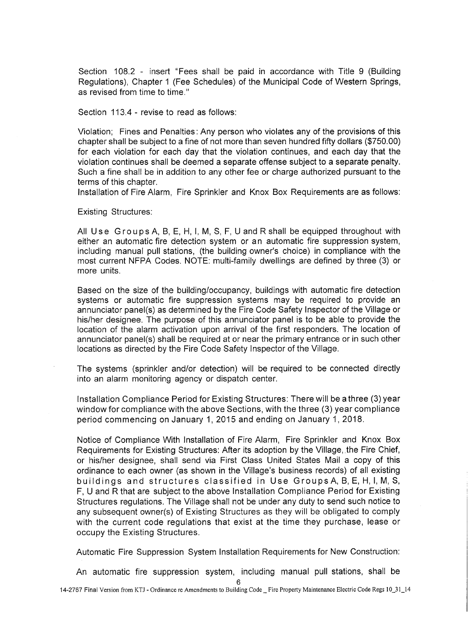Section 108.2 - insert "Fees shall be paid in accordance with Title 9 (Building Regulations), Chapter 1 (Fee Schedules) of the Municipal Code of Western Springs, as revised from time to time."

Section 113.4 - revise to read as follows:

Violation; Fines and Penalties: Any person who violates any of the provisions of this chapter shall be subject to a fine of not more than seven hundred fifty dollars (\$750.00) for each violation for each day that the violation continues, and each day that the violation continues shall be deemed a separate offense subject to a separate penalty. Such a fine shall be in addition to any other fee or charge authorized pursuant to the terms of this chapter.

Installation of Fire Alarm, Fire Sprinkler and Knox Box Requirements are as follows:

Existing Structures:

All Use Groups A, B, E, H, I, M, S, F, U and R shall be equipped throughout with either an automatic fire detection system or an automatic fire suppression system, including manual pull stations, (the building owner's choice) in compliance with the most current NFPA Codes. NOTE: multi-family dwellings are defined by three (3) or more units.

Based on the size of the building/occupancy, buildings with automatic fire detection systems or automatic fire suppression systems may be required to provide an annunciator panel(s) as determined by the Fire Code Safety Inspector of the Village or his/her designee. The purpose of this annunciator panel is to be able to provide the location of the alarm activation upon arrival of the first responders. The location of annunciator panel(s) shall be required at or near the primary entrance or in such other locations as directed by the Fire Code Safety Inspector of the Village.

The systems (sprinkler and/or detection) will be required to be connected directly into an alarm monitoring agency or dispatch center.

Installation Compliance Period for Existing Structures: There will be a three (3) year window for compliance with the above Sections, with the three (3) year compliance period commencing on January 1, 2015 and ending on January 1, 2018.

Notice of Compliance With Installation of Fire Alarm, Fire Sprinkler and Knox Box Requirements for Existing Structures: After its adoption by the Village, the Fire Chief, or his/her designee, shall send via First Class United States Mail a copy of this ordinance to each owner (as shown in the Village's business records) of all existing buildings and structures classified in Use GroupsA, B, E, H, I, M, S, F, U and R that are subject to the above Installation Compliance Period for Existing Structures regulations. The Village shall not be under any duty to send such notice to any subsequent owner(s) of Existing Structures as they will be obligated to comply with the current code regulations that exist at the time they purchase, lease or occupy the Existing Structures.

Automatic Fire Suppression System Installation Requirements for New Construction:

An automatic fire suppression system, including manual pull stations, shall be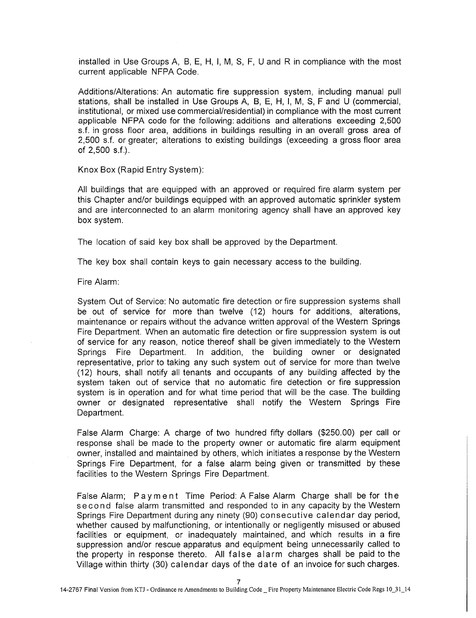installed in Use Groups A, B, E, H, I, M, S, F, U and R in compliance with the most current applicable NFPA Code.

Additions/Alterations: An automatic fire suppression system, including manual pull stations, shall be installed in Use Groups A, B, E, H, I, M, S, F and U (commercial, institutional, or mixed use commercial/residential) in compliance with the most current applicable NFPA code for the following: additions and alterations exceeding 2,500 s.f. in gross floor area, additions in buildings resulting in an overall gross area of 2,500 s.f. or greater; alterations to existing buildings (exceeding a gross floor area of 2,500 s.f.).

Knox Box (Rapid Entry System):

All buildings that are equipped with an approved or required fire alarm system per this Chapter and/or buildings equipped with an approved automatic sprinkler system and are interconnected to an alarm monitoring agency shall have an approved key box system.

The location of said key box shall be approved by the Department.

The key box shall contain keys to gain necessary access to the building.

Fire Alarm:

System Out of Service: No automatic fire detection or fire suppression systems shall be out of service for more than twelve (12) hours for additions, alterations, maintenance or repairs without the advance written approval of the Western Springs Fire Department. When an automatic fire detection or fire suppression system is out of service for any reason, notice thereof shall be given immediately to the Western Springs Fire Department. In addition, the building owner or designated representative, prior to taking any such system out of service for more than twelve (12) hours, shall notify all tenants and occupants of any building affected by the system taken out of service that no automatic fire detection or fire suppression system is in operation and for what time period that will be the case. The building owner or designated representative shall notify the Western Springs Fire Department.

False Alarm Charge: A charge of two hundred fifty dollars (\$250.00) per call or response shall be made to the property owner or automatic fire alarm equipment owner, installed and maintained by others, which initiates a response by the Western Springs Fire Department, for a false alarm being given or transmitted by these facilities to the Western Springs Fire Department.

False Alarm; Payment Time Period: A False Alarm Charge shall be for the second false alarm transmitted and responded to in any capacity by the Western Springs Fire Department during any ninety (90) consecutive calendar day period, whether caused by malfunctioning, or intentionally or negligently misused or abused facilities or equipment, or inadequately maintained, and which results in a fire suppression and/or rescue apparatus and equipment being unnecessarily called to the property in response thereto. All false alarm charges shall be paid to the Village within thirty (30) calendar days of the date of an invoice for such charges.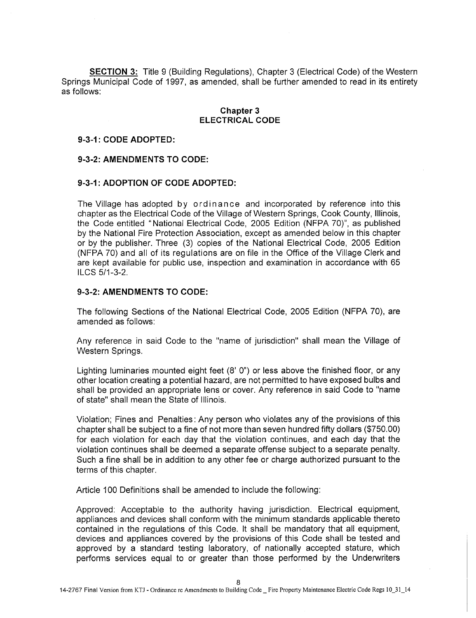**SECTION 3:** Title 9 (Building Regulations), Chapter 3 (Electrical Code) of the Western Springs Municipal Code of 1997, as amended, shall be further amended to read in its entirety as follows:

#### **Chapter 3 ELECTRICAL CODE**

#### **9-3-1: CODE ADOPTED:**

### **9-3-2: AMENDMENTS TO CODE:**

### **9-3-1: ADOPTION OF CODE ADOPTED:**

The Village has adopted by ordinance and incorporated by reference into this chapter as the Electrical Code of the Village of Western Springs, Cook County, Illinois, the Code entitled "National Electrical Code, 2005 Edition (NFPA 70)", as published by the National Fire Protection Association, except as amended below in this chapter or by the publisher. Three (3) copies of the National Electrical Code, 2005 Edition (NFPA 70) and all of its regulations are on file in the Office of the Village Clerk and are kept available for public use, inspection and examination in accordance with 65 ILCS 5/1-3-2.

### **9-3-2: AMENDMENTS TO CODE:**

The following Sections of the National Electrical Code, 2005 Edition (NFPA 70), are amended as follows:

Any reference in said Code to the "name of jurisdiction" shall mean the Village of Western Springs.

Lighting luminaries mounted eight feet (8' 0") or less above the finished floor, or any other location creating a potential hazard, are not permitted to have exposed bulbs and shall be provided an appropriate lens or cover. Any reference in said Code to "name of state" shall mean the State of Illinois.

Violation; Fines and Penalties : Any person who violates any of the provisions of this chapter shall be subject to a fine of not more than seven hundred fifty dollars (\$750.00) for each violation for each day that the violation continues, and each day that the violation continues shall be deemed a separate offense subject to a separate penalty. Such a fine shall be in addition to any other fee or charge authorized pursuant to the terms of this chapter.

Article 100 Definitions shall be amended to include the following:

Approved: Acceptable to the authority having jurisdiction. Electrical equipment, appliances and devices shall conform with the minimum standards applicable thereto contained in the regulations of this Code. It shall be mandatory that all equipment, devices and appliances covered by the provisions of this Code shall be tested and approved by a standard testing laboratory, of nationally accepted stature, which performs services equal to or greater than those performed by the Underwriters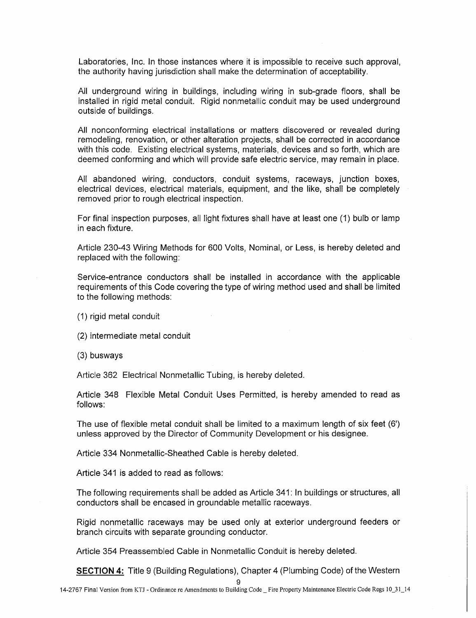Laboratories, Inc. In those instances where it is impossible to receive such approval, the authority having jurisdiction shall make the determination of acceptability.

All underground wiring in buildings, including wiring in sub-grade floors, shall be installed in rigid metal conduit. Rigid nonmetallic conduit may be used underground outside of buildings.

All nonconforming electrical installations or matters discovered or revealed during remodeling, renovation, or other alteration projects, shall be corrected in accordance with this code. Existing electrical systems, materials, devices and so forth, which are deemed conforming and which will provide safe electric service, may remain in place.

All abandoned wiring, conductors, conduit systems, raceways, junction boxes, electrical devices, electrical materials, equipment, and the like, shall be completely removed prior to rough electrical inspection.

For final inspection purposes, all light fixtures shall have at least one (1) bulb or lamp in each fixture.

Article 230-43 Wiring Methods for 600 Volts, Nominal, or Less, is hereby deleted and replaced with the following:

Service-entrance conductors shall be installed in accordance with the applicable requirements of this Code covering the type of wiring method used and shall be limited to the following methods:

(1) rigid metal conduit

(2) intermediate metal conduit

(3) busways

Article 362 Electrical Nonmetallic Tubing, is hereby deleted.

Article 348 Flexible Metal Conduit Uses Permitted, is hereby amended to read as follows:

The use of flexible metal conduit shall be limited to a maximum length of six feet (6') unless approved by the Director of Community Development or his designee.

Article 334 Nonmetallic-Sheathed Cable is hereby deleted.

Article 341 is added to read as follows:

The following requirements shall be added as Article 341: In buildings or structures, all conductors shall be encased in groundable metallic raceways.

Rigid nonmetallic raceways may be used only at exterior underground feeders or branch circuits with separate grounding conductor.

Article 354 Preassembled Cable in Nonmetallic Conduit is hereby deleted.

**SECTION 4:** Title 9 (Building Regulations), Chapter 4 (Plumbing Code) of the Western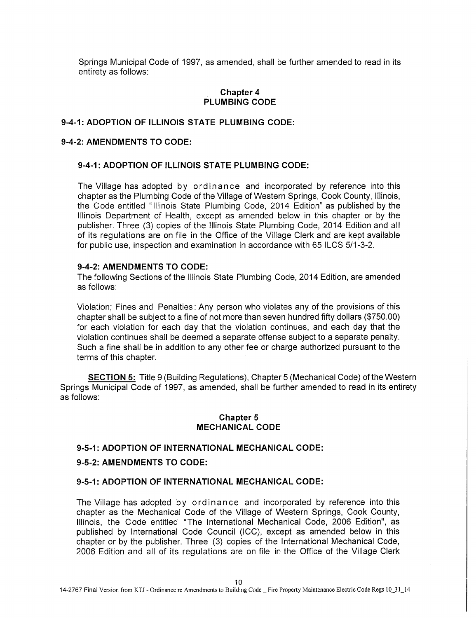Springs Municipal Code of 1997, as amended, shall be further amended to read in its entirety as follows:

### **Chapter 4 PLUMBING CODE**

### **9-4-1: ADOPTION OF ILLINOIS STATE PLUMBING CODE:**

#### **9-4-2: AMENDMENTS TO CODE:**

### **9-4-1: ADOPTION OF ILLINOIS STATE PLUMBING CODE:**

The Village has adopted by ordinan ce and incorporated by reference into this chapter as the Plumbing Code of the Village of Western Springs, Cook County, Illinois, the Code entitled " Illinois State Plumbing Code, 2014 Edition" as published by the Illinois Department of Health, except as amended below in this chapter or by the publisher. Three (3) copies of the Illinois State Plumbing Code, 2014 Edition and all of its regulations are on file in the Office of the Village Clerk and are kept available for public use, inspection and examination in accordance with 65 ILCS 5/1-3-2.

#### **9-4-2: AMENDMENTS TO CODE:**

The following Sections of the Illinois State Plumbing Code, 2014 Edition, are amended as follows:

Violation; Fines and Penalties: Any person who violates any of the provisions of this chapter shall be subject to a fine of not more than seven hundred fifty dollars (\$750.00) for each violation for each day that the violation continues, and each day that the violation continues shall be deemed a separate offense subject to a separate penalty. Such a fine shall be in addition to any other fee or charge authorized pursuant to the terms of this chapter.

**SECTION 5:** Title 9 (Building Regulations), Chapter 5 (Mechanical Code) of the Western Springs Municipal Code of 1997, as amended, shall be further amended to read in its entirety as follows:

### **Chapter 5 MECHANICAL CODE**

#### **9-5-1: ADOPTION OF INTERNATIONAL MECHANICAL CODE:**

#### **9-5-2: AMENDMENTS TO CODE:**

#### **9-5-1: ADOPTION OF INTERNATIONAL MECHANICAL CODE:**

The Village has adopted by ordinance and incorporated by reference into this chapter as the Mechanical Code of the Village of Western Springs, Cook County, Illinois, the Code entitled "The International Mechanical Code, 2006 Edition", as published by International Code Council (ICC), except as amended below in this chapter or by the publisher. Three (3) copies of the International Mechanical Code, 2006 Edition and all of its regulations are on file in the Office of the Village Clerk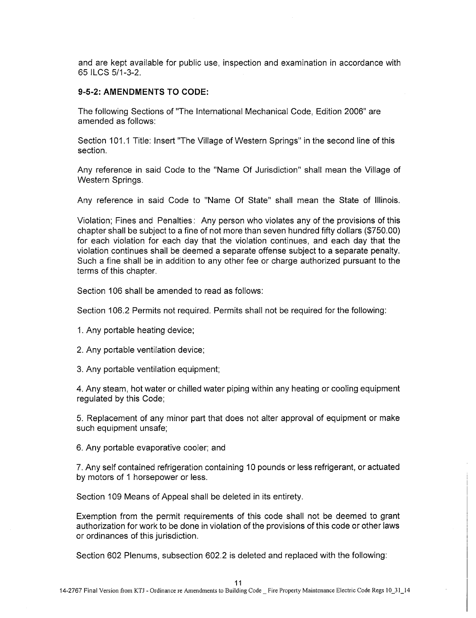and are kept available for public use, inspection and examination in accordance with 65 ILCS 5/1-3-2.

#### **9-5-2: AMENDMENTS TO CODE:**

The following Sections of "The International Mechanical Code, Edition 2006" are amended as follows:

Section 101.1 Title: Insert "The Village of Western Springs" in the second line of this section.

Any reference in said Code to the "Name Of Jurisdiction" shall mean the Village of Western Springs.

Any reference in said Code to "Name Of State" shall mean the State of Illinois.

Violation; Fines and Penalties: Any person who violates any of the provisions of this chapter shall be subject to a fine of not more than seven hundred fifty dollars (\$750.00) for each violation for each day that the violation continues, and each day that the violation continues shall be deemed a separate offense subject to a separate penalty. Such a fine shall be in addition to any other fee or charge authorized pursuant to the terms of this chapter.

Section 106 shall be amended to read as follows:

Section 106.2 Permits not required. Permits shall not be required for the following:

- 1. Any portable heating device;
- 2. Any portable ventilation device;
- 3. Any portable ventilation equipment;

4. Any steam, hot water or chilled water piping within any heating or cooling equipment regulated by this Code;

5. Replacement of any minor part that does not alter approval of equipment or make such equipment unsafe;

6. Any portable evaporative cooler; and

7. Any self contained refrigeration containing 10 pounds or less refrigerant, or actuated by motors of 1 horsepower or less.

Section 109 Means of Appeal shall be deleted in its entirety.

Exemption from the permit requirements of this code shall not be deemed to grant authorization for work to be done in violation of the provisions of this code or other laws or ordinances of this jurisdiction.

Section 602 Plenums, subsection 602.2 is deleted and replaced with the following: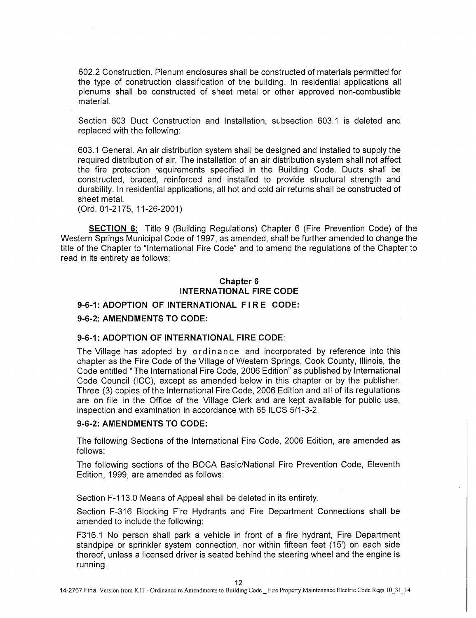602.2 Construction. Plenum enclosures shall be constructed of materials permitted for the type of construction classification of the building. In residential applications all plenums shall be constructed of sheet metal or other approved non-combustible material.

Section 603 Duct Construction and Installation, subsection 603.1 is deleted and replaced with the following:

603.1 General. An air distribution system shall be designed and installed to supply the required distribution of air. The installation of an air distribution system shall not affect the fire protection requirements specified in the Building Code. Ducts shall be constructed, braced, reinforced and installed to provide structural strength and durability. In residential applications, all hot and cold air returns shall be constructed of sheet metal.

(Ord. 01-2175, 11-26-2001)

**SECTION 6:** Title 9 (Building Regulations) Chapter 6 (Fire Prevention Code) of the Western Springs Municipal Code of 1997, as amended, shall be further amended to change the title of the Chapter to "International Fire Code" and to amend the regulations of the Chapter to read in its entirety as follows:

### **Chapter 6 INTERNATIONAL FIRE CODE**

### **9-6-1: ADOPTION OF INTERNATIONAL FIRE CODE:**

### **9-6-2: AMENDMENTS TO CODE:**

### **9-6-1: ADOPTION OF INTERNATIONAL FIRE CODE:**

The Village has adopted by ordin ance and incorporated by reference into this chapter as the Fire Code of the Village of Western Springs, Cook County, Illinois, the Code entitled "The International Fire Code, 2006 Edition" as published by International Code Council (ICC), except as amended below in this chapter or by the publisher. Three (3) copies of the International Fire Code, 2006 Edition and all of its regulations are on file in the Office of the Village Clerk and are kept available for public use, inspection and examination in accordance with 65 ILCS 5/1-3-2.

## **9-6-2: AMENDMENTS TO CODE:**

The following Sections of the International Fire Code, 2006 Edition, are amended as follows:

The following sections of the BOCA Basic/National Fire Prevention Code, Eleventh Edition, 1999, are amended as follows:

Section F-113.0 Means of Appeal shall be deleted in its entirety.

Section F-316 Blocking Fire Hydrants and Fire Department Connections shall be amended to include the following:

F316.1 No person shall park a vehicle in front of a fire hydrant, Fire Department standpipe or sprinkler system connection, nor within fifteen feet (15') on each side thereof, unless a licensed driver is seated behind the steering wheel and the engine is running.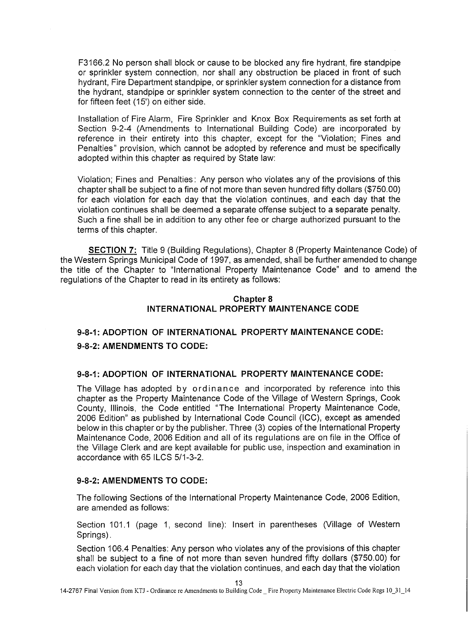F3166.2 No person shall block or cause to be blocked any fire hydrant, fire standpipe or sprinkler system connection, nor shall any obstruction be placed in front of such hydrant, Fire Department standpipe, or sprinkler system connection for a distance from the hydrant, standpipe or sprinkler system connection to the center of the street and for fifteen feet (15') on either side.

Installation of Fire Alarm, Fire Sprinkler and Knox Box Requirements as set forth at Section 9-2-4 (Amendments to International Building Code) are incorporated by reference in their entirety into this chapter, except for the "Violation; Fines and Penalties" provision, which cannot be adopted by reference and must be specifically adopted within this chapter as required by State law:

Violation; Fines and Penalties : Any person who violates any of the provisions of this chapter shall be subject to a fine of not more than seven hundred fifty dollars (\$750.00) for each violation for each day that the violation continues, and each day that the violation continues shall be deemed a separate offense subject to a separate penalty. Such a fine shall be in addition to any other fee or charge authorized pursuant to the terms of this chapter.

**SECTION 7:** Title 9 (Building Regulations), Chapter 8 (Property Maintenance Code) of the Western Springs Municipal Code of 1997, as amended, shall be further amended to change the title of the Chapter to "International Property Maintenance Code" and to amend the regulations of the Chapter to read in its entirety as follows:

### **Chapter 8 INTERNATIONAL PROPERTY MAINTENANCE CODE**

# **9-8-1: ADOPTION OF INTERNATIONAL PROPERTY MAINTENANCE CODE: 9-8-2: AMENDMENTS TO CODE:**

### **9-8-1: ADOPTION OF INTERNATIONAL PROPERTY MAINTENANCE CODE:**

The Village has adopted by ordinance and incorporated by reference into this chapter as the Property Maintenance Code of the Village of Western Springs, Cook County, Illinois, the Code entitled "The International Property Maintenance Code, 2006 Edition" as published by International Code Council (ICC), except as amended below in this chapter or by the publisher. Three (3) copies of the International Property Maintenance Code, 2006 Edition and all of its regulations are on file in the Office of the Village Clerk and are kept available for public use, inspection and examination in accordance with 65 ILCS 5/1-3-2.

### **9-8-2: AMENDMENTS TO CODE:**

The following Sections of the International Property Maintenance Code, 2006 Edition, are amended as follows:

Section 101.1 (page 1, second line): Insert in parentheses (Village of Western Springs).

Section 106.4 Penalties: Any person who violates any of the provisions of this chapter shall be subject to a fine of not more than seven hundred fifty dollars (\$750.00) for each violation for each day that the violation continues, and each day that the violation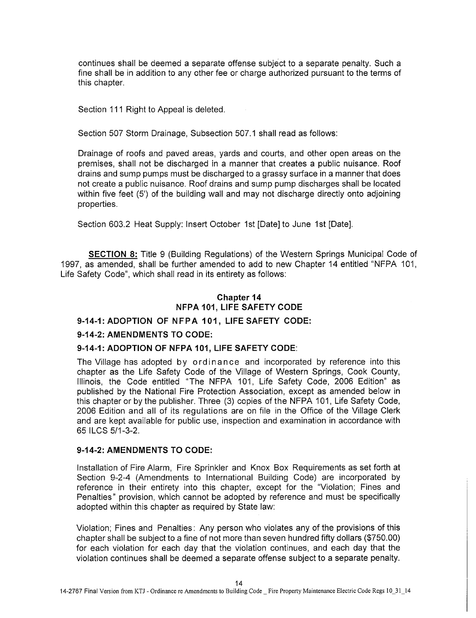continues shall be deemed a separate offense subject to a separate penalty. Such a fine shall be in addition to any other fee or charge authorized pursuant to the terms of this chapter.

Section 111 Right to Appeal is deleted.

Section 507 Storm Drainage, Subsection 507.1 shall read as follows:

Drainage of roofs and paved areas, yards and courts, and other open areas on the premises, shall not be discharged in a manner that creates a public nuisance. Roof drains and sump pumps must be discharged to a grassy surface in a manner that does not create a public nuisance. Roof drains and sump pump discharges shall be located within five feet (5') of the building wall and may not discharge directly onto adjoining properties.

Section 603.2 Heat Supply: Insert October 1st [Date] to June 1st [Date].

**SECTION 8:** Title 9 (Building Regulations) of the Western Springs Municipal Code of 1997, as amended, shall be further amended to add to new Chapter 14 entitled "NFPA 101, Life Safety Code", which shall read in its entirety as follows:

# **Chapter 14 NFPA 101, LIFE SAFETY CODE**

### **9-14-1: ADOPTION OF NFPA 101, LIFE SAFETY CODE:**

#### **9-14-2: AMENDMENTS TO CODE:**

#### **9-14-1: ADOPTION OF NFPA 101, LIFE SAFETY CODE:**

The Village has adopted by ordinance and incorporated by reference into this chapter as the Life Safety Code of the Village of Western Springs, Cook County, Illinois, the Code entitled "The NFPA 101, Life Safety Code, 2006 Edition" as published by the National Fire Protection Association, except as amended below in this chapter or by the publisher. Three (3) copies of the NFPA 101, Life Safety Code, 2006 Edition and all of its regulations are on file in the Office of the Village Clerk and are kept available for public use, inspection and examination in accordance with 65 ILCS 5/1-3-2.

#### **9-14-2: AMENDMENTS TO CODE:**

Installation of Fire Alarm, Fire Sprinkler and Knox Box Requirements as set forth at Section 9-2-4 (Amendments to International Building Code) are incorporated by reference in their entirety into this chapter, except for the "Violation; Fines and Penalties" provision, which cannot be adopted by reference and must be specifically adopted within this chapter as required by State law:

Violation; Fines and Penalties: Any person who violates any of the provisions of this chapter shall be subject to a fine of not more than seven hundred fifty dollars (\$750.00) for each violation for each day that the violation continues, and each day that the violation continues shall be deemed a separate offense subject to a separate penalty.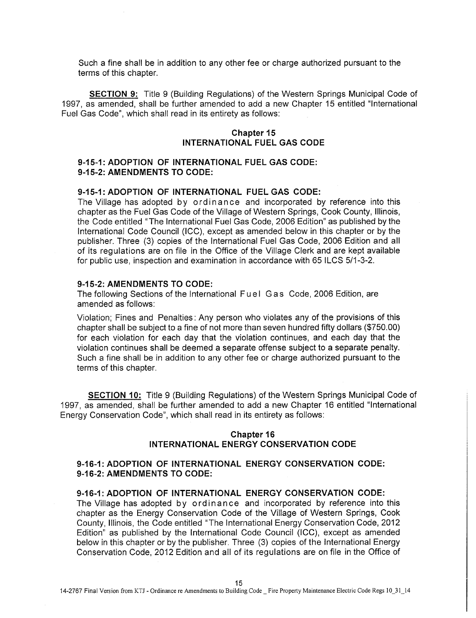Such a fine shall be in addition to any other fee or charge authorized pursuant to the terms of this chapter.

**SECTION 9:** Title 9 (Building Regulations) of the Western Springs Municipal Code of 1997, as amended, shall be further amended to add a new Chapter 15 entitled "International Fuel Gas Code", which shall read in its entirety as follows:

### **Chapter 15 INTERNATIONAL FUEL GAS CODE**

# **9-15-1: ADOPTION OF INTERNATIONAL FUEL GAS CODE: 9-15-2: AMENDMENTS TO CODE:**

# **9-15-1: ADOPTION OF INTERNATIONAL FUEL GAS CODE:**

The Village has adopted by ordinance and incorporated by reference into this chapter as the Fuel Gas Code of the Village of Western Springs, Cook County, Illinois, the Code entitled "The International Fuel Gas Code, 2006 Edition" as published by the International Code Council (ICC), except as amended below in this chapter or by the publisher. Three (3) copies of the International Fuel Gas Code, 2006 Edition and all of its regulations are on file in the Office of the Village Clerk and are kept available for public use, inspection and examination in accordance with 65 ILCS 5/1-3-2.

#### **9-15-2: AMENDMENTS TO CODE:**

The following Sections of the International Fuel Gas Code, 2006 Edition, are amended as follows:

Violation; Fines and Penalties: Any person who violates any of the provisions of this chapter shall be subject to a fine of not more than seven hundred fifty dollars (\$750.00) for each violation for each day that the violation continues, and each day that the violation continues shall be deemed a separate offense subject to a separate penalty. Such a fine shall be in addition to any other fee or charge authorized pursuant to the terms of this chapter.

**SECTION 10:** Title 9 (Building Regulations) of the Western Springs Municipal Code of 1997, as amended, shall be further amended to add a new Chapter 16 entitled "International Energy Conservation Code", which shall read in its entirety as follows:

#### **Chapter 16 INTERNATIONAL ENERGY CONSERVATION CODE**

# **9-16-1: ADOPTION OF INTERNATIONAL ENERGY CONSERVATION CODE: 9-16-2: AMENDMENTS TO CODE:**

### **9-16-1: ADOPTION OF INTERNATIONAL ENERGY CONSERVATION CODE:**

The Village has adopted by ordinance and incorporated by reference into this chapter as the Energy Conservation Code of the Village of Western Springs, Cook County, Illinois, the Code entitled "The International Energy Conservation Code, 2012 Edition" as published by the International Code Council (ICC), except as amended below in this chapter or by the publisher. Three (3) copies of the International Energy Conservation Code, 2012 Edition and all of its regulations are on file in the Office of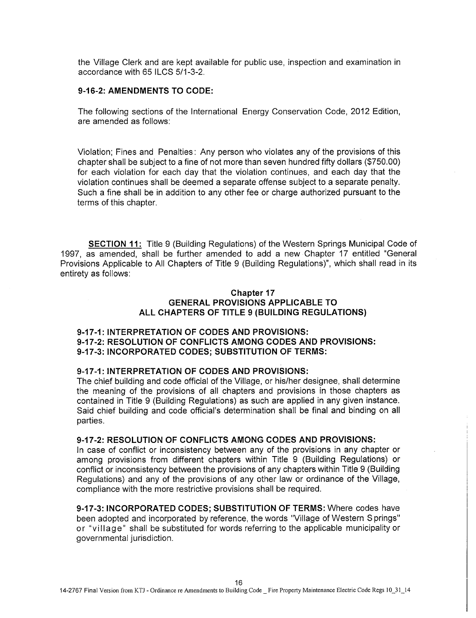the Village Clerk and are kept available for public use, inspection and examination in accordance with 65 ILCS 5/1-3-2.

#### **9-16-2: AMENDMENTS TO CODE:**

The following sections of the International Energy Conservation Code, 2012 Edition, are amended as follows:

Violation; Fines and Penalties : Any person who violates any of the provisions of this chapter shall be subject to a fine of not more than seven hundred fifty dollars (\$750.00) for each violation for each day that the violation continues, and each day that the violation continues shall be deemed a separate offense subject to a separate penalty. Such a fine shall be in addition to any other fee or charge authorized pursuant to the terms of this chapter.

**SECTION 11:** Title 9 (Building Regulations) of the Western Springs Municipal Code of 1997, as amended, shall be further amended to add a new Chapter 17 entitled "General Provisions Applicable to All Chapters of Title 9 (Building Regulations)", which shall read in its entirety as follows:

# **Chapter 17 GENERAL PROVISIONS APPLICABLE TO ALL CHAPTERS OF TITLE 9 (BUILDING REGULATIONS)**

### **9-17-1: INTERPRETATION OF CODES AND PROVISIONS: 9-17-2: RESOLUTION OF CONFLICTS AMONG CODES AND PROVISIONS: 9-17-3: INCORPORATED CODES; SUBSTITUTION OF TERMS:**

### **9-17-1: INTERPRETATION OF CODES AND PROVISIONS:**

The chief building and code official of the Village, or his/her designee, shall determine the meaning of the provisions of all chapters and provisions in those chapters as contained in Title 9 (Building Regulations) as such are applied in any given instance. Said chief building and code official's determination shall be final and binding on all parties.

#### **9-17-2: RESOLUTION OF CONFLICTS AMONG CODES AND PROVISIONS:**

In case of conflict or inconsistency between any of the provisions in any chapter or among provisions from different chapters within Title 9 (Building Regulations) or conflict or inconsistency between the provisions of any chapters within Title 9 (Building Regulations) and any of the provisions of any other law or ordinance of the Village, compliance with the more restrictive provisions shall be required.

**9-17-3: INCORPORATED CODES; SUBSTITUTION OF TERMS:** Where codes have been adopted and incorporated by reference, the words "Village of Western S prings" or "village" shall be substituted for words referring to the applicable municipality or governmental jurisdiction.